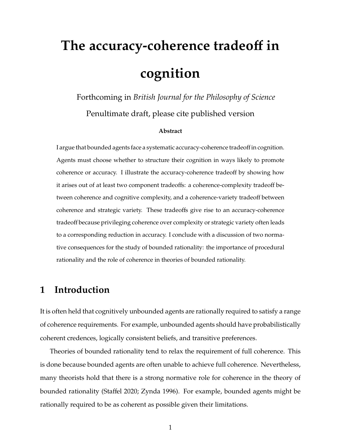# **The accuracy-coherence tradeo**ff **in cognition**

Forthcoming in *British Journal for the Philosophy of Science* Penultimate draft, please cite published version

#### **Abstract**

I argue that bounded agents face a systematic accuracy-coherence tradeoff in cognition. Agents must choose whether to structure their cognition in ways likely to promote coherence or accuracy. I illustrate the accuracy-coherence tradeoff by showing how it arises out of at least two component tradeoffs: a coherence-complexity tradeoff between coherence and cognitive complexity, and a coherence-variety tradeoff between coherence and strategic variety. These tradeoffs give rise to an accuracy-coherence tradeoff because privileging coherence over complexity or strategic variety often leads to a corresponding reduction in accuracy. I conclude with a discussion of two normative consequences for the study of bounded rationality: the importance of procedural rationality and the role of coherence in theories of bounded rationality.

## **1 Introduction**

It is often held that cognitively unbounded agents are rationally required to satisfy a range of coherence requirements. For example, unbounded agents should have probabilistically coherent credences, logically consistent beliefs, and transitive preferences.

Theories of bounded rationality tend to relax the requirement of full coherence. This is done because bounded agents are often unable to achieve full coherence. Nevertheless, many theorists hold that there is a strong normative role for coherence in the theory of bounded rationality (Staffel 2020; Zynda 1996). For example, bounded agents might be rationally required to be as coherent as possible given their limitations.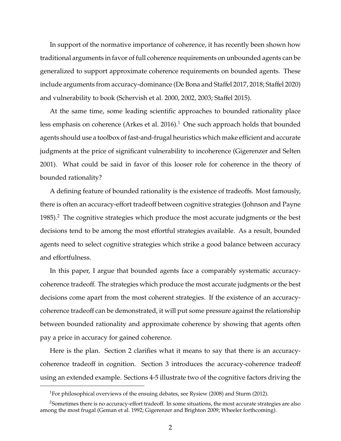In support of the normative importance of coherence, it has recently been shown how traditional arguments in favor of full coherence requirements on unbounded agents can be generalized to support approximate coherence requirements on bounded agents. These include arguments from accuracy-dominance (De Bona and Staffel 2017, 2018; Staffel 2020) and vulnerability to book (Schervish et al. 2000, 2002, 2003; Staffel 2015).

At the same time, some leading scientific approaches to bounded rationality place less emphasis on coherence (Arkes et al. 2016).<sup>1</sup> One such approach holds that bounded agents should use a toolbox of fast-and-frugal heuristics which make efficient and accurate judgments at the price of significant vulnerability to incoherence (Gigerenzer and Selten 2001). What could be said in favor of this looser role for coherence in the theory of bounded rationality?

A defining feature of bounded rationality is the existence of tradeoffs. Most famously, there is often an accuracy-effort tradeoff between cognitive strategies (Johnson and Payne 1985).<sup>2</sup> The cognitive strategies which produce the most accurate judgments or the best decisions tend to be among the most effortful strategies available. As a result, bounded agents need to select cognitive strategies which strike a good balance between accuracy and effortfulness.

In this paper, I argue that bounded agents face a comparably systematic accuracycoherence tradeoff. The strategies which produce the most accurate judgments or the best decisions come apart from the most coherent strategies. If the existence of an accuracycoherence tradeoff can be demonstrated, it will put some pressure against the relationship between bounded rationality and approximate coherence by showing that agents often pay a price in accuracy for gained coherence.

Here is the plan. Section 2 clarifies what it means to say that there is an accuracycoherence tradeoff in cognition. Section 3 introduces the accuracy-coherence tradeoff using an extended example. Sections 4-5 illustrate two of the cognitive factors driving the

<sup>&</sup>lt;sup>1</sup>For philosophical overviews of the ensuing debates, see Rysiew (2008) and Sturm (2012).

<sup>2</sup>Sometimes there is no accuracy-effort tradeoff. In some situations, the most accurate strategies are also among the most frugal (Geman et al. 1992; Gigerenzer and Brighton 2009; Wheeler forthcoming).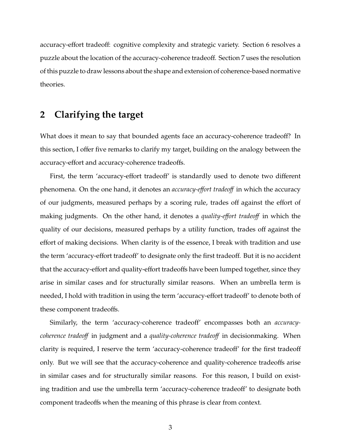accuracy-effort tradeoff: cognitive complexity and strategic variety. Section 6 resolves a puzzle about the location of the accuracy-coherence tradeoff. Section 7 uses the resolution of this puzzle to draw lessons about the shape and extension of coherence-based normative theories.

## **2 Clarifying the target**

What does it mean to say that bounded agents face an accuracy-coherence tradeoff? In this section, I offer five remarks to clarify my target, building on the analogy between the accuracy-effort and accuracy-coherence tradeoffs.

First, the term 'accuracy-effort tradeoff' is standardly used to denote two different phenomena. On the one hand, it denotes an *accuracy-e*ff*ort tradeo*ff in which the accuracy of our judgments, measured perhaps by a scoring rule, trades off against the effort of making judgments. On the other hand, it denotes a *quality-e*ff*ort tradeo*ff in which the quality of our decisions, measured perhaps by a utility function, trades off against the effort of making decisions. When clarity is of the essence, I break with tradition and use the term 'accuracy-effort tradeoff' to designate only the first tradeoff. But it is no accident that the accuracy-effort and quality-effort tradeoffs have been lumped together, since they arise in similar cases and for structurally similar reasons. When an umbrella term is needed, I hold with tradition in using the term 'accuracy-effort tradeoff' to denote both of these component tradeoffs.

Similarly, the term 'accuracy-coherence tradeoff' encompasses both an *accuracycoherence tradeo*ff in judgment and a *quality-coherence tradeo*ff in decisionmaking. When clarity is required, I reserve the term 'accuracy-coherence tradeoff' for the first tradeoff only. But we will see that the accuracy-coherence and quality-coherence tradeoffs arise in similar cases and for structurally similar reasons. For this reason, I build on existing tradition and use the umbrella term 'accuracy-coherence tradeoff' to designate both component tradeoffs when the meaning of this phrase is clear from context.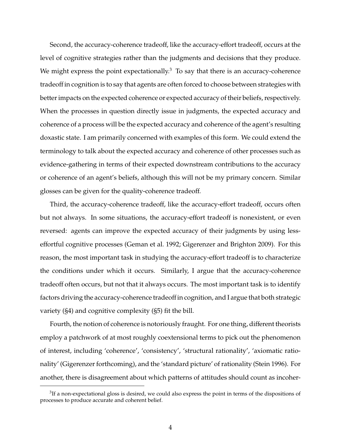Second, the accuracy-coherence tradeoff, like the accuracy-effort tradeoff, occurs at the level of cognitive strategies rather than the judgments and decisions that they produce. We might express the point expectationally. $3$  To say that there is an accuracy-coherence tradeoff in cognition is to say that agents are often forced to choose between strategies with better impacts on the expected coherence or expected accuracy of their beliefs, respectively. When the processes in question directly issue in judgments, the expected accuracy and coherence of a process will be the expected accuracy and coherence of the agent's resulting doxastic state. I am primarily concerned with examples of this form. We could extend the terminology to talk about the expected accuracy and coherence of other processes such as evidence-gathering in terms of their expected downstream contributions to the accuracy or coherence of an agent's beliefs, although this will not be my primary concern. Similar glosses can be given for the quality-coherence tradeoff.

Third, the accuracy-coherence tradeoff, like the accuracy-effort tradeoff, occurs often but not always. In some situations, the accuracy-effort tradeoff is nonexistent, or even reversed: agents can improve the expected accuracy of their judgments by using lesseffortful cognitive processes (Geman et al. 1992; Gigerenzer and Brighton 2009). For this reason, the most important task in studying the accuracy-effort tradeoff is to characterize the conditions under which it occurs. Similarly, I argue that the accuracy-coherence tradeoff often occurs, but not that it always occurs. The most important task is to identify factors driving the accuracy-coherence tradeoff in cognition, and I argue that both strategic variety (§4) and cognitive complexity (§5) fit the bill.

Fourth, the notion of coherence is notoriously fraught. For one thing, different theorists employ a patchwork of at most roughly coextensional terms to pick out the phenomenon of interest, including 'coherence', 'consistency', 'structural rationality', 'axiomatic rationality' (Gigerenzer forthcoming), and the 'standard picture' of rationality (Stein 1996). For another, there is disagreement about which patterns of attitudes should count as incoher-

 ${}^{3}$ If a non-expectational gloss is desired, we could also express the point in terms of the dispositions of processes to produce accurate and coherent belief.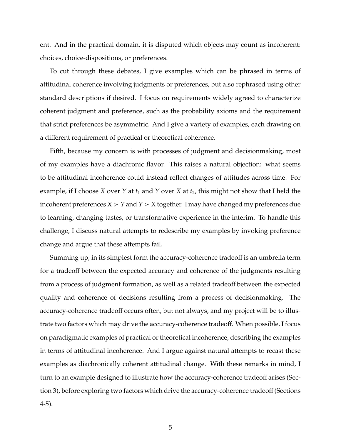ent. And in the practical domain, it is disputed which objects may count as incoherent: choices, choice-dispositions, or preferences.

To cut through these debates, I give examples which can be phrased in terms of attitudinal coherence involving judgments or preferences, but also rephrased using other standard descriptions if desired. I focus on requirements widely agreed to characterize coherent judgment and preference, such as the probability axioms and the requirement that strict preferences be asymmetric. And I give a variety of examples, each drawing on a different requirement of practical or theoretical coherence.

Fifth, because my concern is with processes of judgment and decisionmaking, most of my examples have a diachronic flavor. This raises a natural objection: what seems to be attitudinal incoherence could instead reflect changes of attitudes across time. For example, if I choose *X* over *Y* at  $t_1$  and *Y* over *X* at  $t_2$ , this might not show that I held the incoherent preferences  $X > Y$  and  $Y > X$  together. I may have changed my preferences due to learning, changing tastes, or transformative experience in the interim. To handle this challenge, I discuss natural attempts to redescribe my examples by invoking preference change and argue that these attempts fail.

Summing up, in its simplest form the accuracy-coherence tradeoff is an umbrella term for a tradeoff between the expected accuracy and coherence of the judgments resulting from a process of judgment formation, as well as a related tradeoff between the expected quality and coherence of decisions resulting from a process of decisionmaking. The accuracy-coherence tradeoff occurs often, but not always, and my project will be to illustrate two factors which may drive the accuracy-coherence tradeoff. When possible, I focus on paradigmatic examples of practical or theoretical incoherence, describing the examples in terms of attitudinal incoherence. And I argue against natural attempts to recast these examples as diachronically coherent attitudinal change. With these remarks in mind, I turn to an example designed to illustrate how the accuracy-coherence tradeoff arises (Section 3), before exploring two factors which drive the accuracy-coherence tradeoff (Sections 4-5).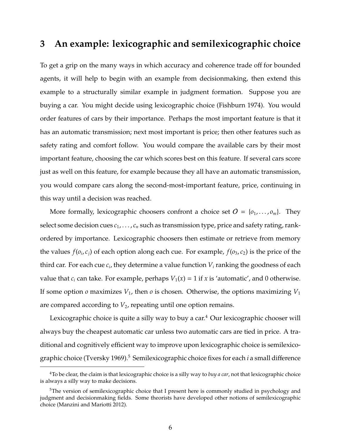## **3 An example: lexicographic and semilexicographic choice**

To get a grip on the many ways in which accuracy and coherence trade off for bounded agents, it will help to begin with an example from decisionmaking, then extend this example to a structurally similar example in judgment formation. Suppose you are buying a car. You might decide using lexicographic choice (Fishburn 1974). You would order features of cars by their importance. Perhaps the most important feature is that it has an automatic transmission; next most important is price; then other features such as safety rating and comfort follow. You would compare the available cars by their most important feature, choosing the car which scores best on this feature. If several cars score just as well on this feature, for example because they all have an automatic transmission, you would compare cars along the second-most-important feature, price, continuing in this way until a decision was reached.

More formally, lexicographic choosers confront a choice set  $O = \{o_1, \ldots, o_m\}$ . They select some decision cues *c*1, . . . , *c<sup>n</sup>* such as transmission type, price and safety rating, rankordered by importance. Lexicographic choosers then estimate or retrieve from memory the values  $f(o_i, c_j)$  of each option along each cue. For example,  $f(o_3, c_2)$  is the price of the third car. For each cue  $c_i$ , they determine a value function  $V_i$  ranking the goodness of each value that  $c_i$  can take. For example, perhaps  $V_1(x) = 1$  if x is 'automatic', and 0 otherwise. If some option  $o$  maximizes  $V_1$ , then  $o$  is chosen. Otherwise, the options maximizing  $V_1$ are compared according to  $V_2$ , repeating until one option remains.

Lexicographic choice is quite a silly way to buy a car.<sup>4</sup> Our lexicographic chooser will always buy the cheapest automatic car unless two automatic cars are tied in price. A traditional and cognitively efficient way to improve upon lexicographic choice is semilexicographic choice (Tversky 1969).<sup>5</sup> Semilexicographic choice fixes for each *i* a small difference

<sup>4</sup>To be clear, the claim is that lexicographic choice is a silly way to *buy a car*, not that lexicographic choice is always a silly way to make decisions.

<sup>&</sup>lt;sup>5</sup>The version of semilexicographic choice that I present here is commonly studied in psychology and judgment and decisionmaking fields. Some theorists have developed other notions of semilexicographic choice (Manzini and Mariotti 2012).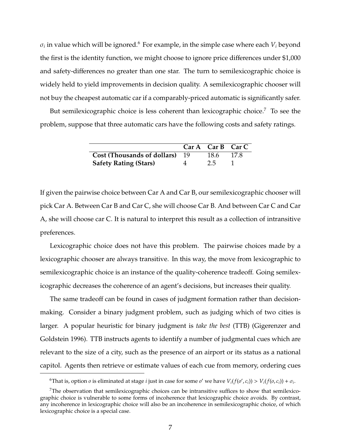$\sigma_i$  in value which will be ignored. $^6$  For example, in the simple case where each  $V_i$  beyond the first is the identity function, we might choose to ignore price differences under \$1,000 and safety-differences no greater than one star. The turn to semilexicographic choice is widely held to yield improvements in decision quality. A semilexicographic chooser will not buy the cheapest automatic car if a comparably-priced automatic is significantly safer.

But semilexicographic choice is less coherent than lexicographic choice.<sup>7</sup> To see the problem, suppose that three automatic cars have the following costs and safety ratings.

|                                |   | $CarA$ Car B Car C |        |
|--------------------------------|---|--------------------|--------|
| Cost (Thousands of dollars) 19 |   | 18.6               | - 17.8 |
| <b>Safety Rating (Stars)</b>   | 4 | 2.5                |        |

If given the pairwise choice between Car A and Car B, our semilexicographic chooser will pick Car A. Between Car B and Car C, she will choose Car B. And between Car C and Car A, she will choose car C. It is natural to interpret this result as a collection of intransitive preferences.

Lexicographic choice does not have this problem. The pairwise choices made by a lexicographic chooser are always transitive. In this way, the move from lexicographic to semilexicographic choice is an instance of the quality-coherence tradeoff. Going semilexicographic decreases the coherence of an agent's decisions, but increases their quality.

The same tradeoff can be found in cases of judgment formation rather than decisionmaking. Consider a binary judgment problem, such as judging which of two cities is larger. A popular heuristic for binary judgment is *take the best* (TTB) (Gigerenzer and Goldstein 1996). TTB instructs agents to identify a number of judgmental cues which are relevant to the size of a city, such as the presence of an airport or its status as a national capitol. Agents then retrieve or estimate values of each cue from memory, ordering cues

<sup>&</sup>lt;sup>6</sup>That is, option *o* is eliminated at stage *i* just in case for some *o'* we have  $V_i(f(o', c_i)) > V_i(f(o, c_i)) + \sigma_i$ .

 $7$ The observation that semilexicographic choices can be intransitive suffices to show that semilexicographic choice is vulnerable to some forms of incoherence that lexicographic choice avoids. By contrast, any incoherence in lexicographic choice will also be an incoherence in semilexicographic choice, of which lexicographic choice is a special case.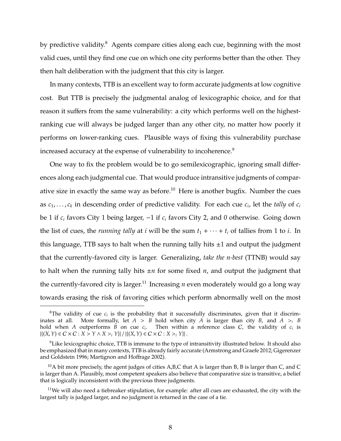by predictive validity.<sup>8</sup> Agents compare cities along each cue, beginning with the most valid cues, until they find one cue on which one city performs better than the other. They then halt deliberation with the judgment that this city is larger.

In many contexts, TTB is an excellent way to form accurate judgments at low cognitive cost. But TTB is precisely the judgmental analog of lexicographic choice, and for that reason it suffers from the same vulnerability: a city which performs well on the highestranking cue will always be judged larger than any other city, no matter how poorly it performs on lower-ranking cues. Plausible ways of fixing this vulnerability purchase increased accuracy at the expense of vulnerability to incoherence.<sup>9</sup>

One way to fix the problem would be to go semilexicographic, ignoring small differences along each judgmental cue. That would produce intransitive judgments of comparative size in exactly the same way as before. $10$  Here is another bugfix. Number the cues as  $c_1, \ldots, c_k$  in descending order of predictive validity. For each cue  $c_i$ , let the *tally* of  $c_i$ be 1 if *c<sup>i</sup>* favors City 1 being larger, −1 if *c<sup>i</sup>* favors City 2, and 0 otherwise. Going down the list of cues, the *running tally* at *i* will be the sum  $t_1 + \cdots + t_i$  of tallies from 1 to *i*. In this language, TTB says to halt when the running tally hits  $\pm 1$  and output the judgment that the currently-favored city is larger. Generalizing, *take the n-best* (TTNB) would say to halt when the running tally hits  $\pm n$  for some fixed *n*, and output the judgment that the currently-favored city is larger.<sup>11</sup> Increasing  $n$  even moderately would go a long way towards erasing the risk of favoring cities which perform abnormally well on the most

 ${}^8$ The validity of cue  $c_i$  is the probability that it successfully discriminates, given that it discriminates at all. More formally, let  $A > B$  hold when city  $A$  is larger than city  $B$ , and  $A >i$   $B$ hold when *A* outperforms *B* on cue  $c_i$ . Then within a reference class *C*, the validity of  $c_i$  is  $|{(X, Y) ∈ C × C : X > Y ∧ X ><sub>i</sub> Y}| / |{(X, Y) ∈ C × C : X > Y}|$ .

<sup>&</sup>lt;sup>9</sup>Like lexicographic choice, TTB is immune to the type of intransitivity illustrated below. It should also be emphasized that in many contexts, TTB is already fairly accurate (Armstrong and Graefe 2012; Gigerenzer and Goldstein 1996; Martignon and Hoffrage 2002).

 $10A$  bit more precisely, the agent judges of cities A,B,C that A is larger than B, B is larger than C, and C is larger than A. Plausibly, most competent speakers also believe that comparative size is transitive, a belief that is logically inconsistent with the previous three judgments.

 $11$ We will also need a tiebreaker stipulation, for example: after all cues are exhausted, the city with the largest tally is judged larger, and no judgment is returned in the case of a tie.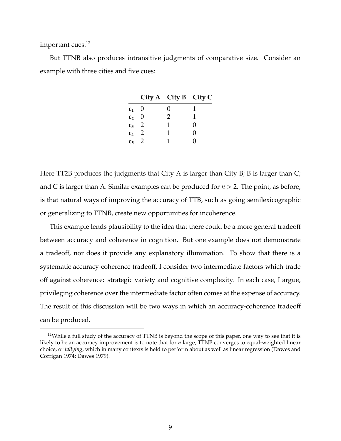important cues.<sup>12</sup>

But TTNB also produces intransitive judgments of comparative size. Consider an example with three cities and five cues:

| - 0<br>0<br>c <sub>1</sub>        |       |   | City A City B City C |  |
|-----------------------------------|-------|---|----------------------|--|
|                                   |       |   |                      |  |
|                                   | $C_2$ | 0 | 2                    |  |
| $c_3$ 2<br>1<br>$\mathbf{\Omega}$ |       |   |                      |  |
| $c_4$ 2<br>1<br>$\mathbf{\Omega}$ |       |   |                      |  |
| $c_5$ 2<br>0                      |       |   |                      |  |

Here TT2B produces the judgments that City A is larger than City B; B is larger than C; and C is larger than A. Similar examples can be produced for *n* > 2. The point, as before, is that natural ways of improving the accuracy of TTB, such as going semilexicographic or generalizing to TTNB, create new opportunities for incoherence.

This example lends plausibility to the idea that there could be a more general tradeoff between accuracy and coherence in cognition. But one example does not demonstrate a tradeoff, nor does it provide any explanatory illumination. To show that there is a systematic accuracy-coherence tradeoff, I consider two intermediate factors which trade off against coherence: strategic variety and cognitive complexity. In each case, I argue, privileging coherence over the intermediate factor often comes at the expense of accuracy. The result of this discussion will be two ways in which an accuracy-coherence tradeoff can be produced.

 $12$ While a full study of the accuracy of TTNB is beyond the scope of this paper, one way to see that it is likely to be an accuracy improvement is to note that for *n* large, TTNB converges to equal-weighted linear choice, or *tallying*, which in many contexts is held to perform about as well as linear regression (Dawes and Corrigan 1974; Dawes 1979).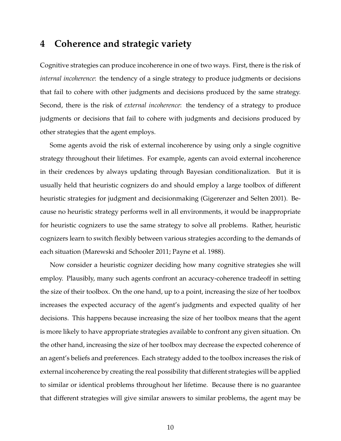## **4 Coherence and strategic variety**

Cognitive strategies can produce incoherence in one of two ways. First, there is the risk of *internal incoherence*: the tendency of a single strategy to produce judgments or decisions that fail to cohere with other judgments and decisions produced by the same strategy. Second, there is the risk of *external incoherence*: the tendency of a strategy to produce judgments or decisions that fail to cohere with judgments and decisions produced by other strategies that the agent employs.

Some agents avoid the risk of external incoherence by using only a single cognitive strategy throughout their lifetimes. For example, agents can avoid external incoherence in their credences by always updating through Bayesian conditionalization. But it is usually held that heuristic cognizers do and should employ a large toolbox of different heuristic strategies for judgment and decisionmaking (Gigerenzer and Selten 2001). Because no heuristic strategy performs well in all environments, it would be inappropriate for heuristic cognizers to use the same strategy to solve all problems. Rather, heuristic cognizers learn to switch flexibly between various strategies according to the demands of each situation (Marewski and Schooler 2011; Payne et al. 1988).

Now consider a heuristic cognizer deciding how many cognitive strategies she will employ. Plausibly, many such agents confront an accuracy-coherence tradeoff in setting the size of their toolbox. On the one hand, up to a point, increasing the size of her toolbox increases the expected accuracy of the agent's judgments and expected quality of her decisions. This happens because increasing the size of her toolbox means that the agent is more likely to have appropriate strategies available to confront any given situation. On the other hand, increasing the size of her toolbox may decrease the expected coherence of an agent's beliefs and preferences. Each strategy added to the toolbox increases the risk of external incoherence by creating the real possibility that different strategies will be applied to similar or identical problems throughout her lifetime. Because there is no guarantee that different strategies will give similar answers to similar problems, the agent may be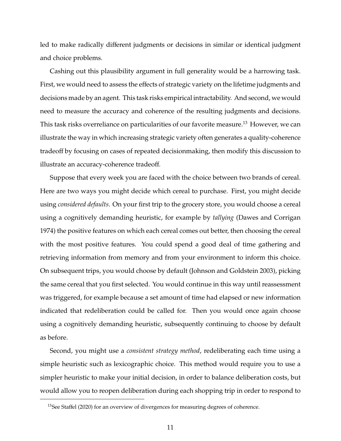led to make radically different judgments or decisions in similar or identical judgment and choice problems.

Cashing out this plausibility argument in full generality would be a harrowing task. First, we would need to assess the effects of strategic variety on the lifetime judgments and decisions made by an agent. This task risks empirical intractability. And second, we would need to measure the accuracy and coherence of the resulting judgments and decisions. This task risks overreliance on particularities of our favorite measure.<sup>13</sup> However, we can illustrate the way in which increasing strategic variety often generates a quality-coherence tradeoff by focusing on cases of repeated decisionmaking, then modify this discussion to illustrate an accuracy-coherence tradeoff.

Suppose that every week you are faced with the choice between two brands of cereal. Here are two ways you might decide which cereal to purchase. First, you might decide using *considered defaults*. On your first trip to the grocery store, you would choose a cereal using a cognitively demanding heuristic, for example by *tallying* (Dawes and Corrigan 1974) the positive features on which each cereal comes out better, then choosing the cereal with the most positive features. You could spend a good deal of time gathering and retrieving information from memory and from your environment to inform this choice. On subsequent trips, you would choose by default (Johnson and Goldstein 2003), picking the same cereal that you first selected. You would continue in this way until reassessment was triggered, for example because a set amount of time had elapsed or new information indicated that redeliberation could be called for. Then you would once again choose using a cognitively demanding heuristic, subsequently continuing to choose by default as before.

Second, you might use a *consistent strategy method*, redeliberating each time using a simple heuristic such as lexicographic choice. This method would require you to use a simpler heuristic to make your initial decision, in order to balance deliberation costs, but would allow you to reopen deliberation during each shopping trip in order to respond to

<sup>&</sup>lt;sup>13</sup>See Staffel (2020) for an overview of divergences for measuring degrees of coherence.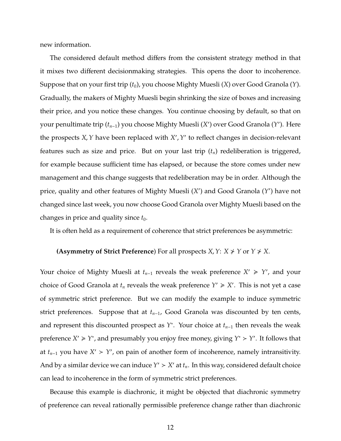new information.

The considered default method differs from the consistent strategy method in that it mixes two different decisionmaking strategies. This opens the door to incoherence. Suppose that on your first trip (*t*0), you choose Mighty Muesli (*X*) over Good Granola (*Y*). Gradually, the makers of Mighty Muesli begin shrinking the size of boxes and increasing their price, and you notice these changes. You continue choosing by default, so that on your penultimate trip (*t*<sub>*n*−1</sub>) you choose Mighty Muesli (X') over Good Granola (Y'). Here the prospects *X*, *Y* have been replaced with *X'*, *Y'* to reflect changes in decision-relevant features such as size and price. But on your last trip (*tn*) redeliberation is triggered, for example because sufficient time has elapsed, or because the store comes under new management and this change suggests that redeliberation may be in order. Although the price, quality and other features of Mighty Muesli (X') and Good Granola (Y') have not changed since last week, you now choose Good Granola over Mighty Muesli based on the changes in price and quality since  $t_0$ .

It is often held as a requirement of coherence that strict preferences be asymmetric:

#### **(Asymmetry of Strict Preference)** For all prospects *X*, *Y*: *X*  $\neq$  *Y* or *Y*  $\neq$  *X*.

Your choice of Mighty Muesli at  $t_{n-1}$  reveals the weak preference  $X' \geq Y'$ , and your choice of Good Granola at  $t_n$  reveals the weak preference  $Y' \geq X'$ . This is not yet a case of symmetric strict preference. But we can modify the example to induce symmetric strict preferences. Suppose that at *tn*−1, Good Granola was discounted by ten cents, and represent this discounted prospect as *Y* ∗ . Your choice at *tn*−<sup>1</sup> then reveals the weak preference  $X' \geq Y^*$ , and presumably you enjoy free money, giving  $Y^* > Y'$ . It follows that at  $t_{n-1}$  you have  $X' > Y'$ , on pain of another form of incoherence, namely intransitivity. And by a similar device we can induce  $Y' > X'$  at  $t_n$ . In this way, considered default choice can lead to incoherence in the form of symmetric strict preferences.

Because this example is diachronic, it might be objected that diachronic symmetry of preference can reveal rationally permissible preference change rather than diachronic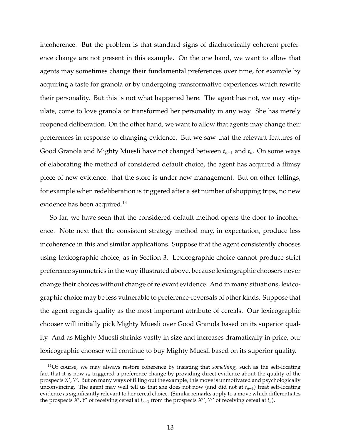incoherence. But the problem is that standard signs of diachronically coherent preference change are not present in this example. On the one hand, we want to allow that agents may sometimes change their fundamental preferences over time, for example by acquiring a taste for granola or by undergoing transformative experiences which rewrite their personality. But this is not what happened here. The agent has not, we may stipulate, come to love granola or transformed her personality in any way. She has merely reopened deliberation. On the other hand, we want to allow that agents may change their preferences in response to changing evidence. But we saw that the relevant features of Good Granola and Mighty Muesli have not changed between *tn*−<sup>1</sup> and *tn*. On some ways of elaborating the method of considered default choice, the agent has acquired a flimsy piece of new evidence: that the store is under new management. But on other tellings, for example when redeliberation is triggered after a set number of shopping trips, no new evidence has been acquired.<sup>14</sup>

So far, we have seen that the considered default method opens the door to incoherence. Note next that the consistent strategy method may, in expectation, produce less incoherence in this and similar applications. Suppose that the agent consistently chooses using lexicographic choice, as in Section 3. Lexicographic choice cannot produce strict preference symmetries in the way illustrated above, because lexicographic choosers never change their choices without change of relevant evidence. And in many situations, lexicographic choice may be less vulnerable to preference-reversals of other kinds. Suppose that the agent regards quality as the most important attribute of cereals. Our lexicographic chooser will initially pick Mighty Muesli over Good Granola based on its superior quality. And as Mighty Muesli shrinks vastly in size and increases dramatically in price, our lexicographic chooser will continue to buy Mighty Muesli based on its superior quality.

<sup>14</sup>Of course, we may always restore coherence by insisting that *something*, such as the self-locating fact that it is now *t<sup>n</sup>* triggered a preference change by providing direct evidence about the quality of the prospects *X'*, *Y'*. But on many ways of filling out the example, this move is unmotivated and psychologically unconvincing. The agent may well tell us that she does not now (and did not at *tn*−1) treat self-locating evidence as significantly relevant to her cereal choice. (Similar remarks apply to a move which differentiates the prospects *X'*, *Y'* of receiving cereal at  $t_{n-1}$  from the prospects *X''*, *Y''* of receiving cereal at  $t_n$ ).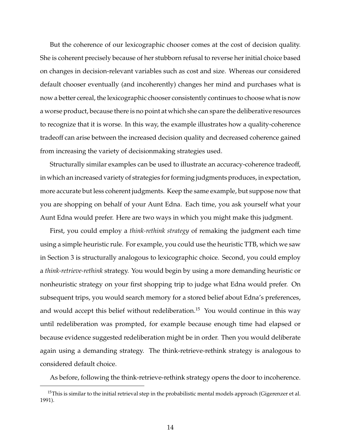But the coherence of our lexicographic chooser comes at the cost of decision quality. She is coherent precisely because of her stubborn refusal to reverse her initial choice based on changes in decision-relevant variables such as cost and size. Whereas our considered default chooser eventually (and incoherently) changes her mind and purchases what is now a better cereal, the lexicographic chooser consistently continues to choose what is now a worse product, because there is no point at which she can spare the deliberative resources to recognize that it is worse. In this way, the example illustrates how a quality-coherence tradeoff can arise between the increased decision quality and decreased coherence gained from increasing the variety of decisionmaking strategies used.

Structurally similar examples can be used to illustrate an accuracy-coherence tradeoff, in which an increased variety of strategies for forming judgments produces, in expectation, more accurate but less coherent judgments. Keep the same example, but suppose now that you are shopping on behalf of your Aunt Edna. Each time, you ask yourself what your Aunt Edna would prefer. Here are two ways in which you might make this judgment.

First, you could employ a *think-rethink strategy* of remaking the judgment each time using a simple heuristic rule. For example, you could use the heuristic TTB, which we saw in Section 3 is structurally analogous to lexicographic choice. Second, you could employ a *think-retrieve-rethink* strategy. You would begin by using a more demanding heuristic or nonheuristic strategy on your first shopping trip to judge what Edna would prefer. On subsequent trips, you would search memory for a stored belief about Edna's preferences, and would accept this belief without redeliberation.<sup>15</sup> You would continue in this way until redeliberation was prompted, for example because enough time had elapsed or because evidence suggested redeliberation might be in order. Then you would deliberate again using a demanding strategy. The think-retrieve-rethink strategy is analogous to considered default choice.

As before, following the think-retrieve-rethink strategy opens the door to incoherence.

<sup>&</sup>lt;sup>15</sup>This is similar to the initial retrieval step in the probabilistic mental models approach (Gigerenzer et al. 1991).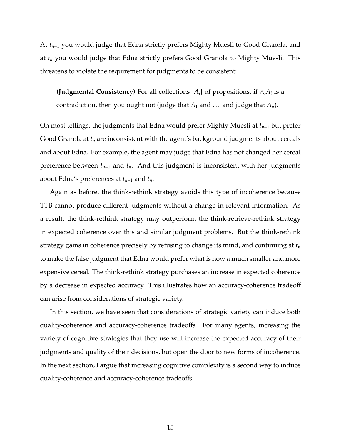At *tn*−<sup>1</sup> you would judge that Edna strictly prefers Mighty Muesli to Good Granola, and at *t<sup>n</sup>* you would judge that Edna strictly prefers Good Granola to Mighty Muesli. This threatens to violate the requirement for judgments to be consistent:

**(Judgmental Consistency)** For all collections  $\{A_i\}$  of propositions, if  $\wedge_i A_i$  is a contradiction, then you ought not (judge that  $A_1$  and ... and judge that  $A_n$ ).

On most tellings, the judgments that Edna would prefer Mighty Muesli at *tn*−<sup>1</sup> but prefer Good Granola at *t<sup>n</sup>* are inconsistent with the agent's background judgments about cereals and about Edna. For example, the agent may judge that Edna has not changed her cereal preference between *tn*−<sup>1</sup> and *tn*. And this judgment is inconsistent with her judgments about Edna's preferences at *tn*−<sup>1</sup> and *tn*.

Again as before, the think-rethink strategy avoids this type of incoherence because TTB cannot produce different judgments without a change in relevant information. As a result, the think-rethink strategy may outperform the think-retrieve-rethink strategy in expected coherence over this and similar judgment problems. But the think-rethink strategy gains in coherence precisely by refusing to change its mind, and continuing at *t<sup>n</sup>* to make the false judgment that Edna would prefer what is now a much smaller and more expensive cereal. The think-rethink strategy purchases an increase in expected coherence by a decrease in expected accuracy. This illustrates how an accuracy-coherence tradeoff can arise from considerations of strategic variety.

In this section, we have seen that considerations of strategic variety can induce both quality-coherence and accuracy-coherence tradeoffs. For many agents, increasing the variety of cognitive strategies that they use will increase the expected accuracy of their judgments and quality of their decisions, but open the door to new forms of incoherence. In the next section, I argue that increasing cognitive complexity is a second way to induce quality-coherence and accuracy-coherence tradeoffs.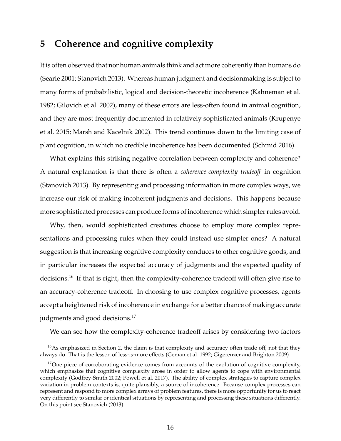## **5 Coherence and cognitive complexity**

It is often observed that nonhuman animals think and act more coherently than humans do (Searle 2001; Stanovich 2013). Whereas human judgment and decisionmaking is subject to many forms of probabilistic, logical and decision-theoretic incoherence (Kahneman et al. 1982; Gilovich et al. 2002), many of these errors are less-often found in animal cognition, and they are most frequently documented in relatively sophisticated animals (Krupenye et al. 2015; Marsh and Kacelnik 2002). This trend continues down to the limiting case of plant cognition, in which no credible incoherence has been documented (Schmid 2016).

What explains this striking negative correlation between complexity and coherence? A natural explanation is that there is often a *coherence-complexity tradeo*ff in cognition (Stanovich 2013). By representing and processing information in more complex ways, we increase our risk of making incoherent judgments and decisions. This happens because more sophisticated processes can produce forms of incoherence which simpler rules avoid.

Why, then, would sophisticated creatures choose to employ more complex representations and processing rules when they could instead use simpler ones? A natural suggestion is that increasing cognitive complexity conduces to other cognitive goods, and in particular increases the expected accuracy of judgments and the expected quality of decisions.<sup>16</sup> If that is right, then the complexity-coherence tradeoff will often give rise to an accuracy-coherence tradeoff. In choosing to use complex cognitive processes, agents accept a heightened risk of incoherence in exchange for a better chance of making accurate judgments and good decisions.<sup>17</sup>

We can see how the complexity-coherence tradeoff arises by considering two factors

 $16$ As emphasized in Section 2, the claim is that complexity and accuracy often trade off, not that they always do. That is the lesson of less-is-more effects (Geman et al. 1992; Gigerenzer and Brighton 2009).

<sup>&</sup>lt;sup>17</sup>One piece of corroborating evidence comes from accounts of the evolution of cognitive complexity, which emphasize that cognitive complexity arose in order to allow agents to cope with environmental complexity (Godfrey-Smith 2002; Powell et al. 2017). The ability of complex strategies to capture complex variation in problem contexts is, quite plausibly, a source of incoherence. Because complex processes can represent and respond to more complex arrays of problem features, there is more opportunity for us to react very differently to similar or identical situations by representing and processing these situations differently. On this point see Stanovich (2013).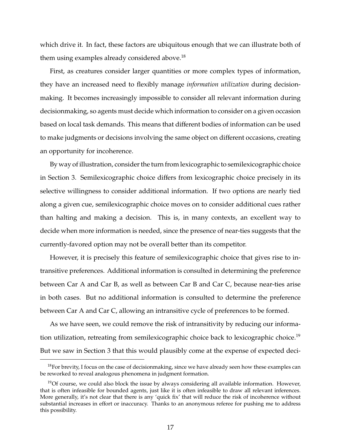which drive it. In fact, these factors are ubiquitous enough that we can illustrate both of them using examples already considered above.<sup>18</sup>

First, as creatures consider larger quantities or more complex types of information, they have an increased need to flexibly manage *information utilization* during decisionmaking. It becomes increasingly impossible to consider all relevant information during decisionmaking, so agents must decide which information to consider on a given occasion based on local task demands. This means that different bodies of information can be used to make judgments or decisions involving the same object on different occasions, creating an opportunity for incoherence.

By way of illustration, consider the turn from lexicographic to semilexicographic choice in Section 3. Semilexicographic choice differs from lexicographic choice precisely in its selective willingness to consider additional information. If two options are nearly tied along a given cue, semilexicographic choice moves on to consider additional cues rather than halting and making a decision. This is, in many contexts, an excellent way to decide when more information is needed, since the presence of near-ties suggests that the currently-favored option may not be overall better than its competitor.

However, it is precisely this feature of semilexicographic choice that gives rise to intransitive preferences. Additional information is consulted in determining the preference between Car A and Car B, as well as between Car B and Car C, because near-ties arise in both cases. But no additional information is consulted to determine the preference between Car A and Car C, allowing an intransitive cycle of preferences to be formed.

As we have seen, we could remove the risk of intransitivity by reducing our information utilization, retreating from semilexicographic choice back to lexicographic choice.<sup>19</sup> But we saw in Section 3 that this would plausibly come at the expense of expected deci-

 $18$ For brevity, I focus on the case of decisionmaking, since we have already seen how these examples can be reworked to reveal analogous phenomena in judgment formation.

<sup>&</sup>lt;sup>19</sup>Of course, we could also block the issue by always considering all available information. However, that is often infeasible for bounded agents, just like it is often infeasible to draw all relevant inferences. More generally, it's not clear that there is any 'quick fix' that will reduce the risk of incoherence without substantial increases in effort or inaccuracy. Thanks to an anonymous referee for pushing me to address this possibility.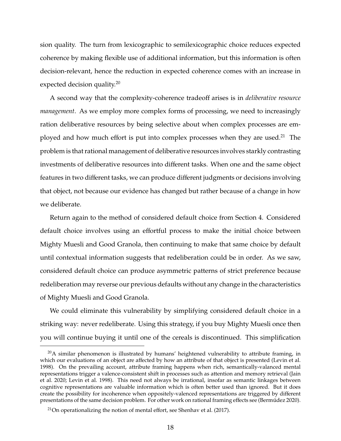sion quality. The turn from lexicographic to semilexicographic choice reduces expected coherence by making flexible use of additional information, but this information is often decision-relevant, hence the reduction in expected coherence comes with an increase in expected decision quality.<sup>20</sup>

A second way that the complexity-coherence tradeoff arises is in *deliberative resource management*. As we employ more complex forms of processing, we need to increasingly ration deliberative resources by being selective about when complex processes are employed and how much effort is put into complex processes when they are used.<sup>21</sup> The problem is that rational management of deliberative resources involves starkly contrasting investments of deliberative resources into different tasks. When one and the same object features in two different tasks, we can produce different judgments or decisions involving that object, not because our evidence has changed but rather because of a change in how we deliberate.

Return again to the method of considered default choice from Section 4. Considered default choice involves using an effortful process to make the initial choice between Mighty Muesli and Good Granola, then continuing to make that same choice by default until contextual information suggests that redeliberation could be in order. As we saw, considered default choice can produce asymmetric patterns of strict preference because redeliberation may reverse our previous defaults without any change in the characteristics of Mighty Muesli and Good Granola.

We could eliminate this vulnerability by simplifying considered default choice in a striking way: never redeliberate. Using this strategy, if you buy Mighty Muesli once then you will continue buying it until one of the cereals is discontinued. This simplification

 $^{20}$ A similar phenomenon is illustrated by humans' heightened vulnerability to attribute framing, in which our evaluations of an object are affected by how an attribute of that object is presented (Levin et al. 1998). On the prevailing account, attribute framing happens when rich, semantically-valanced mental representations trigger a valence-consistent shift in processes such as attention and memory retrieval (Jain et al. 2020; Levin et al. 1998). This need not always be irrational, insofar as semantic linkages between cognitive representations are valuable information which is often better used than ignored. But it does create the possibility for incoherence when oppositely-valenced representations are triggered by different presentations of the same decision problem. For other work on rational framing effects see (Bermudez 2020). ´

 $21$ On operationalizing the notion of mental effort, see Shenhav et al. (2017).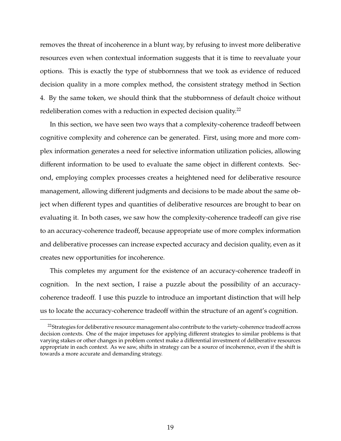removes the threat of incoherence in a blunt way, by refusing to invest more deliberative resources even when contextual information suggests that it is time to reevaluate your options. This is exactly the type of stubbornness that we took as evidence of reduced decision quality in a more complex method, the consistent strategy method in Section 4. By the same token, we should think that the stubbornness of default choice without redeliberation comes with a reduction in expected decision quality.<sup>22</sup>

In this section, we have seen two ways that a complexity-coherence tradeoff between cognitive complexity and coherence can be generated. First, using more and more complex information generates a need for selective information utilization policies, allowing different information to be used to evaluate the same object in different contexts. Second, employing complex processes creates a heightened need for deliberative resource management, allowing different judgments and decisions to be made about the same object when different types and quantities of deliberative resources are brought to bear on evaluating it. In both cases, we saw how the complexity-coherence tradeoff can give rise to an accuracy-coherence tradeoff, because appropriate use of more complex information and deliberative processes can increase expected accuracy and decision quality, even as it creates new opportunities for incoherence.

This completes my argument for the existence of an accuracy-coherence tradeoff in cognition. In the next section, I raise a puzzle about the possibility of an accuracycoherence tradeoff. I use this puzzle to introduce an important distinction that will help us to locate the accuracy-coherence tradeoff within the structure of an agent's cognition.

<sup>&</sup>lt;sup>22</sup>Strategies for deliberative resource management also contribute to the variety-coherence tradeoff across decision contexts. One of the major impetuses for applying different strategies to similar problems is that varying stakes or other changes in problem context make a differential investment of deliberative resources appropriate in each context. As we saw, shifts in strategy can be a source of incoherence, even if the shift is towards a more accurate and demanding strategy.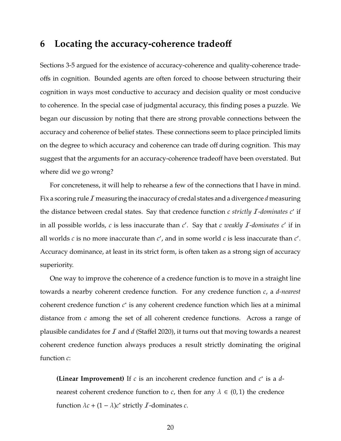## **6 Locating the accuracy-coherence tradeo**ff

Sections 3-5 argued for the existence of accuracy-coherence and quality-coherence tradeoffs in cognition. Bounded agents are often forced to choose between structuring their cognition in ways most conductive to accuracy and decision quality or most conducive to coherence. In the special case of judgmental accuracy, this finding poses a puzzle. We began our discussion by noting that there are strong provable connections between the accuracy and coherence of belief states. These connections seem to place principled limits on the degree to which accuracy and coherence can trade off during cognition. This may suggest that the arguments for an accuracy-coherence tradeoff have been overstated. But where did we go wrong?

For concreteness, it will help to rehearse a few of the connections that I have in mind. Fix a scoring rule  $I$  measuring the inaccuracy of credal states and a divergence  $d$  measuring the distance between credal states. Say that credence function *c strictly I-dominates c'* if in all possible worlds, *c* is less inaccurate than *c'*. Say that *c weakly I-dominates c'* if in all worlds  $c$  is no more inaccurate than  $c'$ , and in some world  $c$  is less inaccurate than  $c'$ . Accuracy dominance, at least in its strict form, is often taken as a strong sign of accuracy superiority.

One way to improve the coherence of a credence function is to move in a straight line towards a nearby coherent credence function. For any credence function *c*, a *d-nearest* coherent credence function *c*<sup>\*</sup> is any coherent credence function which lies at a minimal distance from *c* among the set of all coherent credence functions. Across a range of plausible candidates for I and *d* (Staffel 2020), it turns out that moving towards a nearest coherent credence function always produces a result strictly dominating the original function *c*:

**(Linear Improvement)** If  $c$  is an incoherent credence function and  $c^*$  is a  $d$ nearest coherent credence function to *c*, then for any  $\lambda \in (0,1)$  the credence function  $\lambda c + (1 - \lambda)c^*$  strictly *I*-dominates *c*.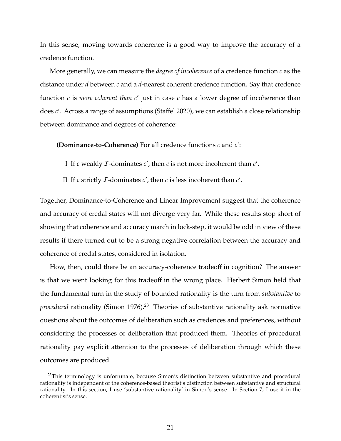In this sense, moving towards coherence is a good way to improve the accuracy of a credence function.

More generally, we can measure the *degree of incoherence* of a credence function *c* as the distance under *d* between *c* and a *d*-nearest coherent credence function. Say that credence function  $c$  is *more coherent than*  $c'$  just in case  $c$  has a lower degree of incoherence than does *c* 0 . Across a range of assumptions (Staffel 2020), we can establish a close relationship between dominance and degrees of coherence:

**(Dominance-to-Coherence)** For all credence functions  $c$  and  $c'$ :

- I If *c* weakly  $I$ -dominates  $c'$ , then  $c$  is not more incoherent than  $c'$ .
- II If *c* strictly *I*-dominates *c'*, then *c* is less incoherent than  $c'$ .

Together, Dominance-to-Coherence and Linear Improvement suggest that the coherence and accuracy of credal states will not diverge very far. While these results stop short of showing that coherence and accuracy march in lock-step, it would be odd in view of these results if there turned out to be a strong negative correlation between the accuracy and coherence of credal states, considered in isolation.

How, then, could there be an accuracy-coherence tradeoff in cognition? The answer is that we went looking for this tradeoff in the wrong place. Herbert Simon held that the fundamental turn in the study of bounded rationality is the turn from *substantive* to *procedural* rationality (Simon 1976).<sup>23</sup> Theories of substantive rationality ask normative questions about the outcomes of deliberation such as credences and preferences, without considering the processes of deliberation that produced them. Theories of procedural rationality pay explicit attention to the processes of deliberation through which these outcomes are produced.

 $23$ This terminology is unfortunate, because Simon's distinction between substantive and procedural rationality is independent of the coherence-based theorist's distinction between substantive and structural rationality. In this section, I use 'substantive rationality' in Simon's sense. In Section 7, I use it in the coherentist's sense.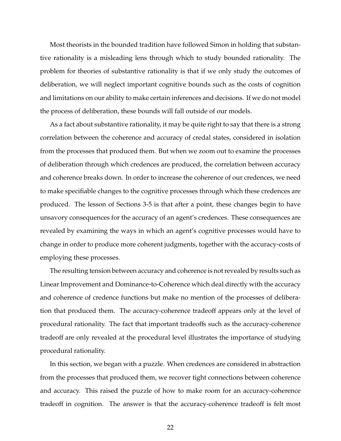Most theorists in the bounded tradition have followed Simon in holding that substantive rationality is a misleading lens through which to study bounded rationality. The problem for theories of substantive rationality is that if we only study the outcomes of deliberation, we will neglect important cognitive bounds such as the costs of cognition and limitations on our ability to make certain inferences and decisions. If we do not model the process of deliberation, these bounds will fall outside of our models.

As a fact about substantive rationality, it may be quite right to say that there is a strong correlation between the coherence and accuracy of credal states, considered in isolation from the processes that produced them. But when we zoom out to examine the processes of deliberation through which credences are produced, the correlation between accuracy and coherence breaks down. In order to increase the coherence of our credences, we need to make specifiable changes to the cognitive processes through which these credences are produced. The lesson of Sections 3-5 is that after a point, these changes begin to have unsavory consequences for the accuracy of an agent's credences. These consequences are revealed by examining the ways in which an agent's cognitive processes would have to change in order to produce more coherent judgments, together with the accuracy-costs of employing these processes.

The resulting tension between accuracy and coherence is not revealed by results such as Linear Improvement and Dominance-to-Coherence which deal directly with the accuracy and coherence of credence functions but make no mention of the processes of deliberation that produced them. The accuracy-coherence tradeoff appears only at the level of procedural rationality. The fact that important tradeoffs such as the accuracy-coherence tradeoff are only revealed at the procedural level illustrates the importance of studying procedural rationality.

In this section, we began with a puzzle. When credences are considered in abstraction from the processes that produced them, we recover tight connections between coherence and accuracy. This raised the puzzle of how to make room for an accuracy-coherence tradeoff in cognition. The answer is that the accuracy-coherence tradeoff is felt most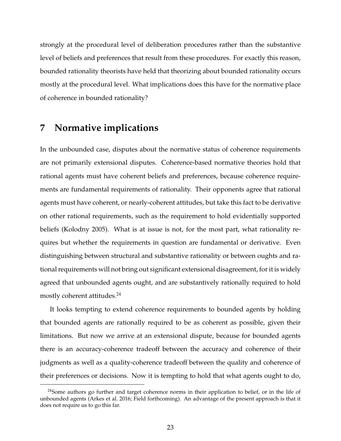strongly at the procedural level of deliberation procedures rather than the substantive level of beliefs and preferences that result from these procedures. For exactly this reason, bounded rationality theorists have held that theorizing about bounded rationality occurs mostly at the procedural level. What implications does this have for the normative place of coherence in bounded rationality?

## **7 Normative implications**

In the unbounded case, disputes about the normative status of coherence requirements are not primarily extensional disputes. Coherence-based normative theories hold that rational agents must have coherent beliefs and preferences, because coherence requirements are fundamental requirements of rationality. Their opponents agree that rational agents must have coherent, or nearly-coherent attitudes, but take this fact to be derivative on other rational requirements, such as the requirement to hold evidentially supported beliefs (Kolodny 2005). What is at issue is not, for the most part, what rationality requires but whether the requirements in question are fundamental or derivative. Even distinguishing between structural and substantive rationality or between oughts and rational requirements will not bring out significant extensional disagreement, for it is widely agreed that unbounded agents ought, and are substantively rationally required to hold mostly coherent attitudes.<sup>24</sup>

It looks tempting to extend coherence requirements to bounded agents by holding that bounded agents are rationally required to be as coherent as possible, given their limitations. But now we arrive at an extensional dispute, because for bounded agents there is an accuracy-coherence tradeoff between the accuracy and coherence of their judgments as well as a quality-coherence tradeoff between the quality and coherence of their preferences or decisions. Now it is tempting to hold that what agents ought to do,

<sup>&</sup>lt;sup>24</sup>Some authors go further and target coherence norms in their application to belief, or in the life of unbounded agents (Arkes et al. 2016; Field forthcoming). An advantage of the present approach is that it does not require us to go this far.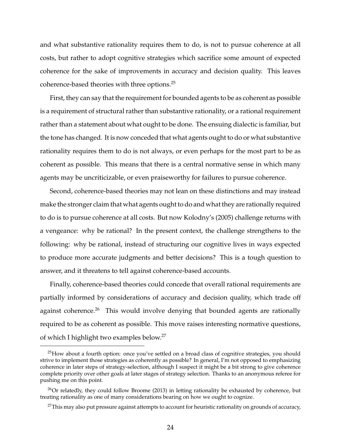and what substantive rationality requires them to do, is not to pursue coherence at all costs, but rather to adopt cognitive strategies which sacrifice some amount of expected coherence for the sake of improvements in accuracy and decision quality. This leaves coherence-based theories with three options.<sup>25</sup>

First, they can say that the requirement for bounded agents to be as coherent as possible is a requirement of structural rather than substantive rationality, or a rational requirement rather than a statement about what ought to be done. The ensuing dialectic is familiar, but the tone has changed. It is now conceded that what agents ought to do or what substantive rationality requires them to do is not always, or even perhaps for the most part to be as coherent as possible. This means that there is a central normative sense in which many agents may be uncriticizable, or even praiseworthy for failures to pursue coherence.

Second, coherence-based theories may not lean on these distinctions and may instead make the stronger claim that what agents ought to do and what they are rationally required to do is to pursue coherence at all costs. But now Kolodny's (2005) challenge returns with a vengeance: why be rational? In the present context, the challenge strengthens to the following: why be rational, instead of structuring our cognitive lives in ways expected to produce more accurate judgments and better decisions? This is a tough question to answer, and it threatens to tell against coherence-based accounts.

Finally, coherence-based theories could concede that overall rational requirements are partially informed by considerations of accuracy and decision quality, which trade off against coherence.<sup>26</sup> This would involve denying that bounded agents are rationally required to be as coherent as possible. This move raises interesting normative questions, of which I highlight two examples below.<sup>27</sup>

 $^{25}$ How about a fourth option: once you've settled on a broad class of cognitive strategies, you should strive to implement those strategies as coherently as possible? In general, I'm not opposed to emphasizing coherence in later steps of strategy-selection, although I suspect it might be a bit strong to give coherence complete priority over other goals at later stages of strategy selection. Thanks to an anonymous referee for pushing me on this point.

 $^{26}$ Or relatedly, they could follow Broome (2013) in letting rationality be exhausted by coherence, but treating rationality as one of many considerations bearing on how we ought to cognize.

 $27$ This may also put pressure against attempts to account for heuristic rationality on grounds of accuracy,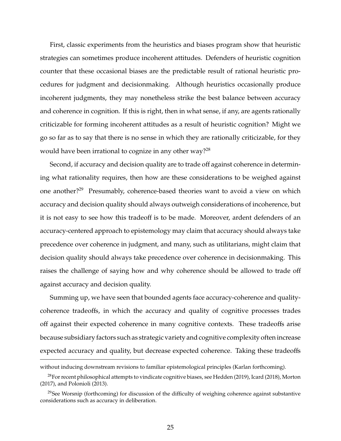First, classic experiments from the heuristics and biases program show that heuristic strategies can sometimes produce incoherent attitudes. Defenders of heuristic cognition counter that these occasional biases are the predictable result of rational heuristic procedures for judgment and decisionmaking. Although heuristics occasionally produce incoherent judgments, they may nonetheless strike the best balance between accuracy and coherence in cognition. If this is right, then in what sense, if any, are agents rationally criticizable for forming incoherent attitudes as a result of heuristic cognition? Might we go so far as to say that there is no sense in which they are rationally criticizable, for they would have been irrational to cognize in any other way? $^{28}$ 

Second, if accuracy and decision quality are to trade off against coherence in determining what rationality requires, then how are these considerations to be weighed against one another?<sup>29</sup> Presumably, coherence-based theories want to avoid a view on which accuracy and decision quality should always outweigh considerations of incoherence, but it is not easy to see how this tradeoff is to be made. Moreover, ardent defenders of an accuracy-centered approach to epistemology may claim that accuracy should always take precedence over coherence in judgment, and many, such as utilitarians, might claim that decision quality should always take precedence over coherence in decisionmaking. This raises the challenge of saying how and why coherence should be allowed to trade off against accuracy and decision quality.

Summing up, we have seen that bounded agents face accuracy-coherence and qualitycoherence tradeoffs, in which the accuracy and quality of cognitive processes trades off against their expected coherence in many cognitive contexts. These tradeoffs arise because subsidiary factors such as strategic variety and cognitive complexity often increase expected accuracy and quality, but decrease expected coherence. Taking these tradeoffs

without inducing downstream revisions to familiar epistemological principles (Karlan forthcoming).

 $^{28}$ For recent philosophical attempts to vindicate cognitive biases, see Hedden (2019), Icard (2018), Morton (2017), and Polonioli (2013).

<sup>&</sup>lt;sup>29</sup>See Worsnip (forthcoming) for discussion of the difficulty of weighing coherence against substantive considerations such as accuracy in deliberation.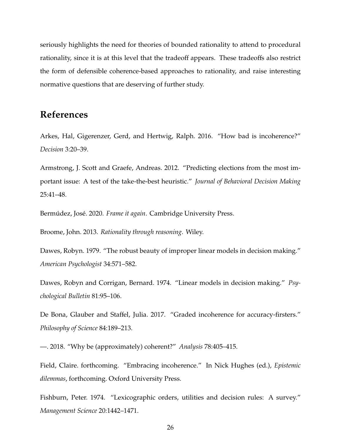seriously highlights the need for theories of bounded rationality to attend to procedural rationality, since it is at this level that the tradeoff appears. These tradeoffs also restrict the form of defensible coherence-based approaches to rationality, and raise interesting normative questions that are deserving of further study.

## **References**

Arkes, Hal, Gigerenzer, Gerd, and Hertwig, Ralph. 2016. "How bad is incoherence?" *Decision* 3:20–39.

Armstrong, J. Scott and Graefe, Andreas. 2012. "Predicting elections from the most important issue: A test of the take-the-best heuristic." *Journal of Behavioral Decision Making* 25:41–48.

Bermúdez, José. 2020. *Frame it again*. Cambridge University Press.

Broome, John. 2013. *Rationality through reasoning*. Wiley.

Dawes, Robyn. 1979. "The robust beauty of improper linear models in decision making." *American Psychologist* 34:571–582.

Dawes, Robyn and Corrigan, Bernard. 1974. "Linear models in decision making." *Psychological Bulletin* 81:95–106.

De Bona, Glauber and Staffel, Julia. 2017. "Graded incoherence for accuracy-firsters." *Philosophy of Science* 84:189–213.

—. 2018. "Why be (approximately) coherent?" *Analysis* 78:405–415.

Field, Claire. forthcoming. "Embracing incoherence." In Nick Hughes (ed.), *Epistemic dilemmas*, forthcoming. Oxford University Press.

Fishburn, Peter. 1974. "Lexicographic orders, utilities and decision rules: A survey." *Management Science* 20:1442–1471.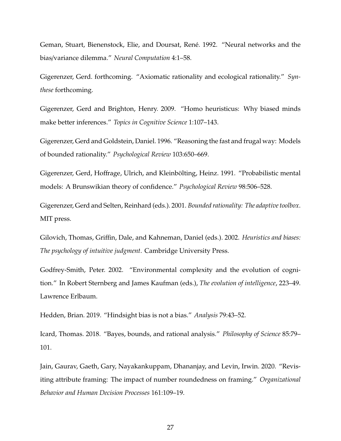Geman, Stuart, Bienenstock, Elie, and Doursat, René. 1992. "Neural networks and the bias/variance dilemma." *Neural Computation* 4:1–58.

Gigerenzer, Gerd. forthcoming. "Axiomatic rationality and ecological rationality." *Synthese* forthcoming.

Gigerenzer, Gerd and Brighton, Henry. 2009. "Homo heuristicus: Why biased minds make better inferences." *Topics in Cognitive Science* 1:107–143.

Gigerenzer, Gerd and Goldstein, Daniel. 1996. "Reasoning the fast and frugal way: Models of bounded rationality." *Psychological Review* 103:650–669.

Gigerenzer, Gerd, Hoffrage, Ulrich, and Kleinbölting, Heinz. 1991. "Probabilistic mental models: A Brunswikian theory of confidence." *Psychological Review* 98:506–528.

Gigerenzer, Gerd and Selten, Reinhard (eds.). 2001. *Bounded rationality: The adaptive toolbox*. MIT press.

Gilovich, Thomas, Griffin, Dale, and Kahneman, Daniel (eds.). 2002. *Heuristics and biases: The psychology of intuitive judgment*. Cambridge University Press.

Godfrey-Smith, Peter. 2002. "Environmental complexity and the evolution of cognition." In Robert Sternberg and James Kaufman (eds.), *The evolution of intelligence*, 223–49. Lawrence Erlbaum.

Hedden, Brian. 2019. "Hindsight bias is not a bias." *Analysis* 79:43–52.

Icard, Thomas. 2018. "Bayes, bounds, and rational analysis." *Philosophy of Science* 85:79– 101.

Jain, Gaurav, Gaeth, Gary, Nayakankuppam, Dhananjay, and Levin, Irwin. 2020. "Revisiting attribute framing: The impact of number roundedness on framing." *Organizational Behavior and Human Decision Processes* 161:109–19.

27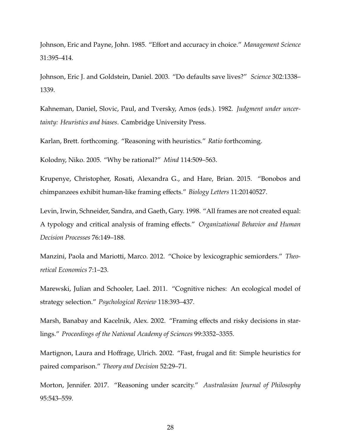Johnson, Eric and Payne, John. 1985. "Effort and accuracy in choice." *Management Science* 31:395–414.

Johnson, Eric J. and Goldstein, Daniel. 2003. "Do defaults save lives?" *Science* 302:1338– 1339.

Kahneman, Daniel, Slovic, Paul, and Tversky, Amos (eds.). 1982. *Judgment under uncertainty: Heuristics and biases*. Cambridge University Press.

Karlan, Brett. forthcoming. "Reasoning with heuristics." *Ratio* forthcoming.

Kolodny, Niko. 2005. "Why be rational?" *Mind* 114:509–563.

Krupenye, Christopher, Rosati, Alexandra G., and Hare, Brian. 2015. "Bonobos and chimpanzees exhibit human-like framing effects." *Biology Letters* 11:20140527.

Levin, Irwin, Schneider, Sandra, and Gaeth, Gary. 1998. "All frames are not created equal: A typology and critical analysis of framing effects." *Organizational Behavior and Human Decision Processes* 76:149–188.

Manzini, Paola and Mariotti, Marco. 2012. "Choice by lexicographic semiorders." *Theoretical Economics* 7:1–23.

Marewski, Julian and Schooler, Lael. 2011. "Cognitive niches: An ecological model of strategy selection." *Psychological Review* 118:393–437.

Marsh, Banabay and Kacelnik, Alex. 2002. "Framing effects and risky decisions in starlings." *Proceedings of the National Academy of Sciences* 99:3352–3355.

Martignon, Laura and Hoffrage, Ulrich. 2002. "Fast, frugal and fit: Simple heuristics for paired comparison." *Theory and Decision* 52:29–71.

Morton, Jennifer. 2017. "Reasoning under scarcity." *Australasian Journal of Philosophy* 95:543–559.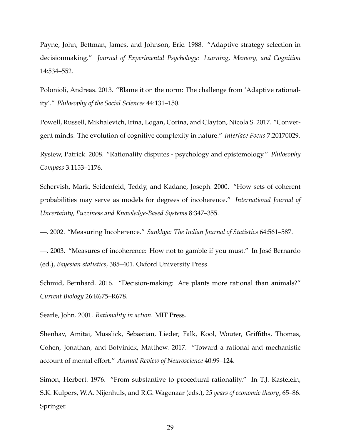Payne, John, Bettman, James, and Johnson, Eric. 1988. "Adaptive strategy selection in decisionmaking." *Journal of Experimental Psychology: Learning, Memory, and Cognition* 14:534–552.

Polonioli, Andreas. 2013. "Blame it on the norm: The challenge from 'Adaptive rationality'." *Philosophy of the Social Sciences* 44:131–150.

Powell, Russell, Mikhalevich, Irina, Logan, Corina, and Clayton, Nicola S. 2017. "Convergent minds: The evolution of cognitive complexity in nature." *Interface Focus* 7:20170029.

Rysiew, Patrick. 2008. "Rationality disputes - psychology and epistemology." *Philosophy Compass* 3:1153–1176.

Schervish, Mark, Seidenfeld, Teddy, and Kadane, Joseph. 2000. "How sets of coherent probabilities may serve as models for degrees of incoherence." *International Journal of Uncertainty, Fuzziness and Knowledge-Based Systems* 8:347–355.

—. 2002. "Measuring Incoherence." *Sankhya: The Indian Journal of Statistics* 64:561–587.

—. 2003. "Measures of incoherence: How not to gamble if you must." In Jose Bernardo ´ (ed.), *Bayesian statistics*, 385–401. Oxford University Press.

Schmid, Bernhard. 2016. "Decision-making: Are plants more rational than animals?" *Current Biology* 26:R675–R678.

Searle, John. 2001. *Rationality in action*. MIT Press.

Shenhav, Amitai, Musslick, Sebastian, Lieder, Falk, Kool, Wouter, Griffiths, Thomas, Cohen, Jonathan, and Botvinick, Matthew. 2017. "Toward a rational and mechanistic account of mental effort." *Annual Review of Neuroscience* 40:99–124.

Simon, Herbert. 1976. "From substantive to procedural rationality." In T.J. Kastelein, S.K. Kulpers, W.A. Nijenhuls, and R.G. Wagenaar (eds.), *25 years of economic theory*, 65–86. Springer.

29